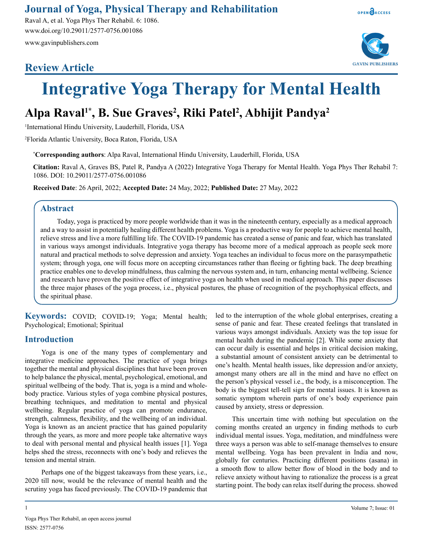### **Journal of Yoga, Physical Therapy and Rehabilitation**

Raval A, et al. Yoga Phys Ther Rehabil. 6: 1086. www.doi.org/10.29011/2577-0756.001086 www.gavinpublishers.com

## **Review Article**





# **Integrative Yoga Therapy for Mental Health**

# **Alpa Raval1\*, B. Sue Graves2 , Riki Patel2 , Abhijit Pandya2**

1 International Hindu University, Lauderhill, Florida, USA

2 Florida Atlantic University, Boca Raton, Florida, USA

**\* Corresponding authors**: Alpa Raval, International Hindu University, Lauderhill, Florida, USA

**Citation:** Raval A, Graves BS, Patel R, Pandya A (2022) Integrative Yoga Therapy for Mental Health. Yoga Phys Ther Rehabil 7: 1086. DOI: 10.29011/2577-0756.001086

**Received Date**: 26 April, 2022; **Accepted Date:** 24 May, 2022; **Published Date:** 27 May, 2022

#### **Abstract**

Today, yoga is practiced by more people worldwide than it was in the nineteenth century, especially as a medical approach and a way to assist in potentially healing different health problems. Yoga is a productive way for people to achieve mental health, relieve stress and live a more fulfilling life. The COVID-19 pandemic has created a sense of panic and fear, which has translated in various ways amongst individuals. Integrative yoga therapy has become more of a medical approach as people seek more natural and practical methods to solve depression and anxiety. Yoga teaches an individual to focus more on the parasympathetic system; through yoga, one will focus more on accepting circumstances rather than fleeing or fighting back. The deep breathing practice enables one to develop mindfulness, thus calming the nervous system and, in turn, enhancing mental wellbeing. Science and research have proven the positive effect of integrative yoga on health when used in medical approach. This paper discusses the three major phases of the yoga process, i.e., physical postures, the phase of recognition of the psychophysical effects, and the spiritual phase.

**Keywords:** COVID; COVID-19; Yoga; Mental health; Psychological; Emotional; Spiritual

#### **Introduction**

Yoga is one of the many types of complementary and integrative medicine approaches. The practice of yoga brings together the mental and physical disciplines that have been proven to help balance the physical, mental, psychological, emotional, and spiritual wellbeing of the body. That is, yoga is a mind and wholebody practice. Various styles of yoga combine physical postures, breathing techniques, and meditation to mental and physical wellbeing. Regular practice of yoga can promote endurance, strength, calmness, flexibility, and the wellbeing of an individual. Yoga is known as an ancient practice that has gained popularity through the years, as more and more people take alternative ways to deal with personal mental and physical health issues [1]. Yoga helps shed the stress, reconnects with one's body and relieves the tension and mental strain.

Perhaps one of the biggest takeaways from these years, i.e., 2020 till now, would be the relevance of mental health and the scrutiny yoga has faced previously. The COVID-19 pandemic that led to the interruption of the whole global enterprises, creating a sense of panic and fear. These created feelings that translated in various ways amongst individuals. Anxiety was the top issue for mental health during the pandemic [2]. While some anxiety that can occur daily is essential and helps in critical decision making, a substantial amount of consistent anxiety can be detrimental to one's health. Mental health issues, like depression and/or anxiety, amongst many others are all in the mind and have no effect on the person's physical vessel i.e., the body, is a misconception. The body is the biggest tell-tell sign for mental issues. It is known as somatic symptom wherein parts of one's body experience pain caused by anxiety, stress or depression.

This uncertain time with nothing but speculation on the coming months created an urgency in finding methods to curb individual mental issues. Yoga, meditation, and mindfulness were three ways a person was able to self-manage themselves to ensure mental wellbeing. Yoga has been prevalent in India and now, globally for centuries. Practicing different positions (asana) in a smooth flow to allow better flow of blood in the body and to relieve anxiety without having to rationalize the process is a great starting point. The body can relax itself during the process. showed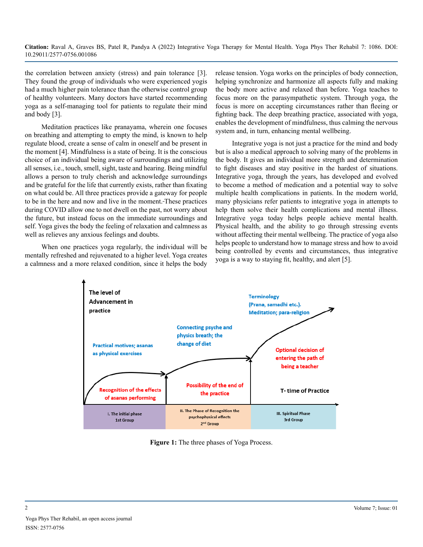the correlation between anxiety (stress) and pain tolerance [3]. They found the group of individuals who were experienced yogis had a much higher pain tolerance than the otherwise control group of healthy volunteers. Many doctors have started recommending yoga as a self-managing tool for patients to regulate their mind and body [3].

Meditation practices like pranayama, wherein one focuses on breathing and attempting to empty the mind, is known to help regulate blood, create a sense of calm in oneself and be present in the moment [4]. Mindfulness is a state of being. It is the conscious choice of an individual being aware of surroundings and utilizing all senses, i.e., touch, smell, sight, taste and hearing. Being mindful allows a person to truly cherish and acknowledge surroundings and be grateful for the life that currently exists, rather than fixating on what could be. All three practices provide a gateway for people to be in the here and now and live in the moment. These practices during COVID allow one to not dwell on the past, not worry about the future, but instead focus on the immediate surroundings and self. Yoga gives the body the feeling of relaxation and calmness as well as relieves any anxious feelings and doubts.

When one practices yoga regularly, the individual will be mentally refreshed and rejuvenated to a higher level. Yoga creates a calmness and a more relaxed condition, since it helps the body release tension. Yoga works on the principles of body connection, helping synchronize and harmonize all aspects fully and making the body more active and relaxed than before. Yoga teaches to focus more on the parasympathetic system. Through yoga, the focus is more on accepting circumstances rather than fleeing or fighting back. The deep breathing practice, associated with yoga, enables the development of mindfulness, thus calming the nervous system and, in turn, enhancing mental wellbeing.

Integrative yoga is not just a practice for the mind and body but is also a medical approach to solving many of the problems in the body. It gives an individual more strength and determination to fight diseases and stay positive in the hardest of situations. Integrative yoga, through the years, has developed and evolved to become a method of medication and a potential way to solve multiple health complications in patients. In the modern world, many physicians refer patients to integrative yoga in attempts to help them solve their health complications and mental illness. Integrative yoga today helps people achieve mental health. Physical health, and the ability to go through stressing events without affecting their mental wellbeing. The practice of yoga also helps people to understand how to manage stress and how to avoid being controlled by events and circumstances, thus integrative yoga is a way to staying fit, healthy, and alert [5].



**Figure 1:** The three phases of Yoga Process.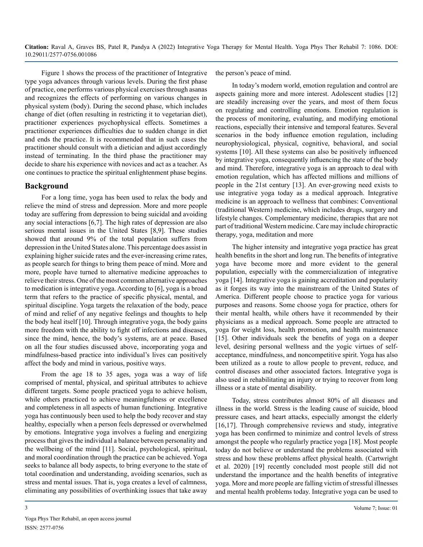Figure 1 shows the process of the practitioner of Integrative type yoga advances through various levels. During the first phase of practice, one performs various physical exercises through asanas and recognizes the effects of performing on various changes in physical system (body). During the second phase, which includes change of diet (often resulting in restricting it to vegetarian diet), practitioner experiences psychophysical effects. Sometimes a practitioner experiences difficulties due to sudden change in diet and ends the practice. It is recommended that in such cases the practitioner should consult with a dietician and adjust accordingly instead of terminating. In the third phase the practitioner may decide to share his experience with novices and act as a teacher. As one continues to practice the spiritual enlightenment phase begins.

#### **Background**

For a long time, yoga has been used to relax the body and relieve the mind of stress and depression. More and more people today are suffering from depression to being suicidal and avoiding any social interactions [6,7]. The high rates of depression are also serious mental issues in the United States [8,9]. These studies showed that around 9% of the total population suffers from depression in the United States alone. This percentage does assist in explaining higher suicide rates and the ever-increasing crime rates, as people search for things to bring them peace of mind. More and more, people have turned to alternative medicine approaches to relieve their stress. One of the most common alternative approaches to medication is integrative yoga. According to [6], yoga is a broad term that refers to the practice of specific physical, mental, and spiritual discipline. Yoga targets the relaxation of the body, peace of mind and relief of any negative feelings and thoughts to help the body heal itself [10]. Through integrative yoga, the body gains more freedom with the ability to fight off infections and diseases, since the mind, hence, the body's systems, are at peace. Based on all the four studies discussed above, incorporating yoga and mindfulness-based practice into individual's lives can positively affect the body and mind in various, positive ways.

From the age 18 to 35 ages, yoga was a way of life comprised of mental, physical, and spiritual attributes to achieve different targets. Some people practiced yoga to achieve holism, while others practiced to achieve meaningfulness or excellence and completeness in all aspects of human functioning. Integrative yoga has continuously been used to help the body recover and stay healthy, especially when a person feels depressed or overwhelmed by emotions. Integrative yoga involves a fueling and energizing process that gives the individual a balance between personality and the wellbeing of the mind [11]. Social, psychological, spiritual, and moral coordination through the practice can be achieved. Yoga seeks to balance all body aspects, to bring everyone to the state of total coordination and understanding, avoiding scenarios, such as stress and mental issues. That is, yoga creates a level of calmness, eliminating any possibilities of overthinking issues that take away

the person's peace of mind.

In today's modern world, emotion regulation and control are aspects gaining more and more interest. Adolescent studies [12] are steadily increasing over the years, and most of them focus on regulating and controlling emotions. Emotion regulation is the process of monitoring, evaluating, and modifying emotional reactions, especially their intensive and temporal features. Several scenarios in the body influence emotion regulation, including neurophysiological, physical, cognitive, behavioral, and social systems [10]. All these systems can also be positively influenced by integrative yoga, consequently influencing the state of the body and mind. Therefore, integrative yoga is an approach to deal with emotion regulation, which has affected millions and millions of people in the 21st century [13]. An ever-growing need exists to use integrative yoga today as a medical approach. Integrative medicine is an approach to wellness that combines: Conventional (traditional Western) medicine, which includes drugs, surgery and lifestyle changes. Complementary medicine, therapies that are not part of traditional Western medicine. Care may include chiropractic therapy, yoga, meditation and more

The higher intensity and integrative yoga practice has great health benefits in the short and long run. The benefits of integrative yoga have become more and more evident to the general population, especially with the commercialization of integrative yoga [14]. Integrative yoga is gaining accreditation and popularity as it forges its way into the mainstream of the United States of America. Different people choose to practice yoga for various purposes and reasons. Some choose yoga for practice, others for their mental health, while others have it recommended by their physicians as a medical approach. Some people are attracted to yoga for weight loss, health promotion, and health maintenance [15]. Other individuals seek the benefits of yoga on a deeper level, desiring personal wellness and the yogic virtues of selfacceptance, mindfulness, and noncompetitive spirit. Yoga has also been utilized as a route to allow people to prevent, reduce, and control diseases and other associated factors. Integrative yoga is also used in rehabilitating an injury or trying to recover from long illness or a state of mental disability.

Today, stress contributes almost 80% of all diseases and illness in the world. Stress is the leading cause of suicide, blood pressure cases, and heart attacks, especially amongst the elderly [16,17]. Through comprehensive reviews and study, integrative yoga has been confirmed to minimize and control levels of stress amongst the people who regularly practice yoga [18]. Most people today do not believe or understand the problems associated with stress and how these problems affect physical health. (Cartwright et al. 2020) [19] recently concluded most people still did not understand the importance and the health benefits of integrative yoga. More and more people are falling victim of stressful illnesses and mental health problems today. Integrative yoga can be used to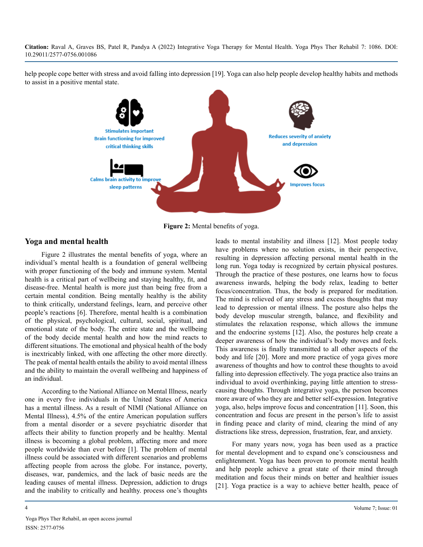help people cope better with stress and avoid falling into depression [19]. Yoga can also help people develop healthy habits and methods to assist in a positive mental state.



**Figure 2:** Mental benefits of yoga.

#### **Yoga and mental health**

Figure 2 illustrates the mental benefits of yoga, where an individual's mental health is a foundation of general wellbeing with proper functioning of the body and immune system. Mental health is a critical part of wellbeing and staying healthy, fit, and disease-free. Mental health is more just than being free from a certain mental condition. Being mentally healthy is the ability to think critically, understand feelings, learn, and perceive other people's reactions [6]. Therefore, mental health is a combination of the physical, psychological, cultural, social, spiritual, and emotional state of the body. The entire state and the wellbeing of the body decide mental health and how the mind reacts to different situations. The emotional and physical health of the body is inextricably linked, with one affecting the other more directly. The peak of mental health entails the ability to avoid mental illness and the ability to maintain the overall wellbeing and happiness of an individual.

According to the National Alliance on Mental Illness, nearly one in every five individuals in the United States of America has a mental illness. As a result of NIMI (National Alliance on Mental Illness), 4.5% of the entire American population suffers from a mental disorder or a severe psychiatric disorder that affects their ability to function properly and be healthy. Mental illness is becoming a global problem, affecting more and more people worldwide than ever before [1]. The problem of mental illness could be associated with different scenarios and problems affecting people from across the globe. For instance, poverty, diseases, war, pandemics, and the lack of basic needs are the leading causes of mental illness. Depression, addiction to drugs and the inability to critically and healthy. process one's thoughts leads to mental instability and illness [12]. Most people today have problems where no solution exists, in their perspective, resulting in depression affecting personal mental health in the long run. Yoga today is recognized by certain physical postures. Through the practice of these postures, one learns how to focus awareness inwards, helping the body relax, leading to better focus/concentration. Thus, the body is prepared for meditation. The mind is relieved of any stress and excess thoughts that may lead to depression or mental illness. The posture also helps the body develop muscular strength, balance, and flexibility and stimulates the relaxation response, which allows the immune and the endocrine systems [12]. Also, the postures help create a deeper awareness of how the individual's body moves and feels. This awareness is finally transmitted to all other aspects of the body and life [20]. More and more practice of yoga gives more awareness of thoughts and how to control these thoughts to avoid falling into depression effectively. The yoga practice also trains an individual to avoid overthinking, paying little attention to stresscausing thoughts. Through integrative yoga, the person becomes more aware of who they are and better self-expression. Integrative yoga, also, helps improve focus and concentration [11]. Soon, this concentration and focus are present in the person's life to assist in finding peace and clarity of mind, clearing the mind of any distractions like stress, depression, frustration, fear, and anxiety.

For many years now, yoga has been used as a practice for mental development and to expand one's consciousness and enlightenment. Yoga has been proven to promote mental health and help people achieve a great state of their mind through meditation and focus their minds on better and healthier issues [21]. Yoga practice is a way to achieve better health, peace of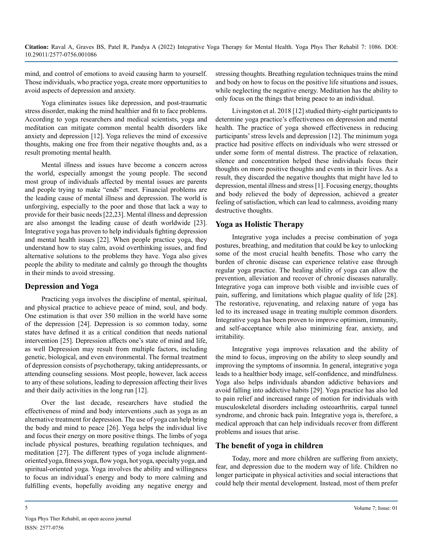mind, and control of emotions to avoid causing harm to yourself. Those individuals, who practice yoga, create more opportunities to avoid aspects of depression and anxiety.

Yoga eliminates issues like depression, and post-traumatic stress disorder, making the mind healthier and fit to face problems. According to yoga researchers and medical scientists, yoga and meditation can mitigate common mental health disorders like anxiety and depression [12]. Yoga relieves the mind of excessive thoughts, making one free from their negative thoughts and, as a result promoting mental health.

Mental illness and issues have become a concern across the world, especially amongst the young people. The second most group of individuals affected by mental issues are parents and people trying to make "ends" meet. Financial problems are the leading cause of mental illness and depression. The world is unforgiving, especially to the poor and those that lack a way to provide for their basic needs [22,23]. Mental illness and depression are also amongst the leading cause of death worldwide [23]. Integrative yoga has proven to help individuals fighting depression and mental health issues [22]. When people practice yoga, they understand how to stay calm, avoid overthinking issues, and find alternative solutions to the problems they have. Yoga also gives people the ability to meditate and calmly go through the thoughts in their minds to avoid stressing.

#### **Depression and Yoga**

Practicing yoga involves the discipline of mental, spiritual, and physical practice to achieve peace of mind, soul, and body. One estimation is that over 350 million in the world have some of the depression [24]. Depression is so common today, some states have defined it as a critical condition that needs national intervention [25]. Depression affects one's state of mind and life, as well Depression may result from multiple factors, including genetic, biological, and even environmental. The formal treatment of depression consists of psychotherapy, taking antidepressants, or attending counseling sessions. Most people, however, lack access to any of these solutions, leading to depression affecting their lives and their daily activities in the long run [12].

Over the last decade, researchers have studied the effectiveness of mind and body interventions ,such as yoga as an alternative treatment for depression. The use of yoga can help bring the body and mind to peace [26]. Yoga helps the individual live and focus their energy on more positive things. The limbs of yoga include physical postures, breathing regulation techniques, and meditation [27]. The different types of yoga include alignmentoriented yoga, fitness yoga, flow yoga, hot yoga, specialty yoga, and spiritual-oriented yoga. Yoga involves the ability and willingness to focus an individual's energy and body to more calming and fulfilling events, hopefully avoiding any negative energy and

stressing thoughts. Breathing regulation techniques trains the mind and body on how to focus on the positive life situations and issues, while neglecting the negative energy. Meditation has the ability to only focus on the things that bring peace to an individual.

Livingston et al. 2018 [12] studied thirty-eight participants to determine yoga practice's effectiveness on depression and mental health. The practice of yoga showed effectiveness in reducing participants' stress levels and depression [12]. The minimum yoga practice had positive effects on individuals who were stressed or under some form of mental distress. The practice of relaxation, silence and concentration helped these individuals focus their thoughts on more positive thoughts and events in their lives. As a result, they discarded the negative thoughts that might have led to depression, mental illness and stress [1]. Focusing energy, thoughts and body relieved the body of depression, achieved a greater feeling of satisfaction, which can lead to calmness, avoiding many destructive thoughts.

#### **Yoga as Holistic Therapy**

Integrative yoga includes a precise combination of yoga postures, breathing, and meditation that could be key to unlocking some of the most crucial health benefits. Those who carry the burden of chronic disease can experience relative ease through regular yoga practice. The healing ability of yoga can allow the prevention, alleviation and recover of chronic diseases naturally. Integrative yoga can improve both visible and invisible cues of pain, suffering, and limitations which plague quality of life [28]. The restorative, rejuvenating, and relaxing nature of yoga has led to its increased usage in treating multiple common disorders. Integrative yoga has been proven to improve optimism, immunity, and self-acceptance while also minimizing fear, anxiety, and irritability.

Integrative yoga improves relaxation and the ability of the mind to focus, improving on the ability to sleep soundly and improving the symptoms of insomnia. In general, integrative yoga leads to a healthier body image, self-confidence, and mindfulness. Yoga also helps individuals abandon addictive behaviors and avoid falling into addictive habits [29]. Yoga practice has also led to pain relief and increased range of motion for individuals with musculoskeletal disorders including osteoarthritis, carpal tunnel syndrome, and chronic back pain. Integrative yoga is, therefore, a medical approach that can help individuals recover from different problems and issues that arise.

#### **The benefit of yoga in children**

Today, more and more children are suffering from anxiety, fear, and depression due to the modern way of life. Children no longer participate in physical activities and social interactions that could help their mental development. Instead, most of them prefer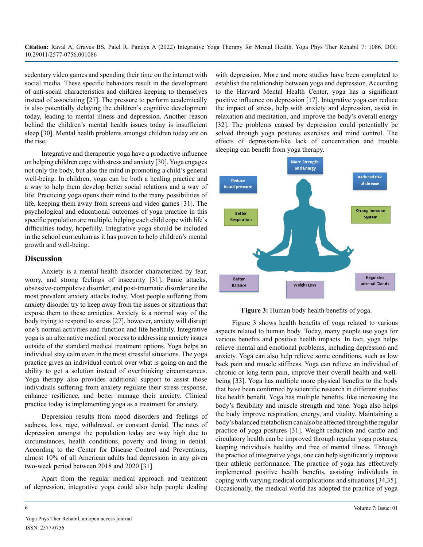sedentary video games and spending their time on the internet with social media. These specific behaviors result in the development of anti-social characteristics and children keeping to themselves instead of associating [27]. The pressure to perform academically is also potentially delaying the children's cognitive development today, leading to mental illness and depression. Another reason behind the children's mental health issues today is insufficient sleep [30]. Mental health problems amongst children today are on the rise,

Integrative and therapeutic yoga have a productive influence on helping children cope with stress and anxiety [30]. Yoga engages not only the body, but also the mind in promoting a child's general well-being. In children, yoga can be both a healing practice and a way to help them develop better social relations and a way of life. Practicing yoga opens their mind to the many possibilities of life, keeping them away from screens and video games [31]. The psychological and educational outcomes of yoga practice in this specific population are multiple, helping each child cope with life's difficulties today, hopefully. Integrative yoga should be included in the school curriculum as it has proven to help children's mental growth and well-being.

#### **Discussion**

Anxiety is a mental health disorder characterized by fear, worry, and strong feelings of insecurity [31]. Panic attacks, obsessive-compulsive disorder, and post-traumatic disorder are the most prevalent anxiety attacks today. Most people suffering from anxiety disorder try to keep away from the issues or situations that expose them to these anxieties. Anxiety is a normal way of the body trying to respond to stress [27], however, anxiety will disrupt one's normal activities and function and life healthily. Integrative yoga is an alternative medical process to addressing anxiety issues outside of the standard medical treatment options. Yoga helps an individual stay calm even in the most stressful situations. The yoga practice gives an individual control over what is going on and the ability to get a solution instead of overthinking circumstances. Yoga therapy also provides additional support to assist those individuals suffering from anxiety regulate their stress response, enhance resilience, and better manage their anxiety. Clinical practice today is implementing yoga as a treatment for anxiety.

Depression results from mood disorders and feelings of sadness, loss, rage, withdrawal, or constant denial. The rates of depression amongst the population today are way high due to circumstances, health conditions, poverty and living in denial. According to the Center for Disease Control and Preventions, almost 10% of all American adults had depression in any given two-week period between 2018 and 2020 [31].

Apart from the regular medical approach and treatment of depression, integrative yoga could also help people dealing with depression. More and more studies have been completed to establish the relationship between yoga and depression. According to the Harvard Mental Health Center, yoga has a significant positive influence on depression [17]. Integrative yoga can reduce the impact of stress, help with anxiety and depression, assist in relaxation and meditation, and improve the body's overall energy [32]. The problems caused by depression could potentially be solved through yoga postures exercises and mind control. The effects of depression-like lack of concentration and trouble sleeping can benefit from yoga therapy.



**Figure 3:** Human body health benefits of yoga.

Figure 3 shows health benefits of yoga related to various aspects related to human body. Today, many people use yoga for various benefits and positive health impacts. In fact, yoga helps relieve mental and emotional problems, including depression and anxiety. Yoga can also help relieve some conditions, such as low back pain and muscle stiffness. Yoga can relieve an individual of chronic or long-term pain, improve their overall health and wellbeing [33]. Yoga has multiple more physical benefits to the body that have been confirmed by scientific research in different studies like health benefit. Yoga has multiple benefits, like increasing the body's flexibility and muscle strength and tone. Yoga also helps the body improve respiration, energy, and vitality. Maintaining a body's balanced metabolism can also be affected through the regular practice of yoga postures [31]. Weight reduction and cardio and circulatory health can be improved through regular yoga postures, keeping individuals healthy and free of mental illness. Through the practice of integrative yoga, one can help significantly improve their athletic performance. The practice of yoga has effectively implemented positive health benefits, assisting individuals in coping with varying medical complications and situations [34,35]. Occasionally, the medical world has adopted the practice of yoga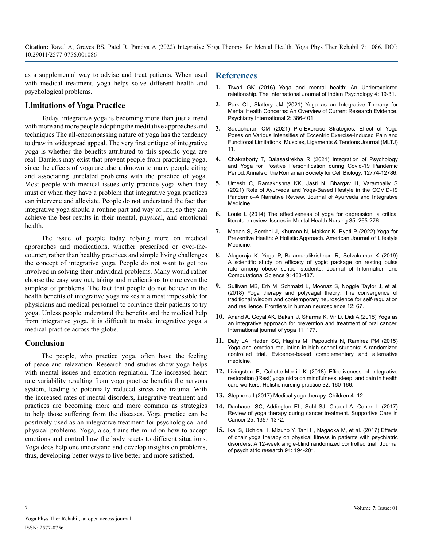as a supplemental way to advise and treat patients. When used with medical treatment, yoga helps solve different health and psychological problems.

#### **Limitations of Yoga Practice**

Today, integrative yoga is becoming more than just a trend with more and more people adopting the meditative approaches and techniques The all-encompassing nature of yoga has the tendency to draw in widespread appeal. The very first critique of integrative yoga is whether the benefits attributed to this specific yoga are real. Barriers may exist that prevent people from practicing yoga, since the effects of yoga are also unknown to many people citing and associating unrelated problems with the practice of yoga. Most people with medical issues only practice yoga when they must or when they have a problem that integrative yoga practices can intervene and alleviate. People do not understand the fact that integrative yoga should a routine part and way of life, so they can achieve the best results in their mental, physical, and emotional health.

The issue of people today relying more on medical approaches and medications, whether prescribed or over-thecounter, rather than healthy practices and simple living challenges the concept of integrative yoga. People do not want to get too involved in solving their individual problems. Many would rather choose the easy way out, taking and medications to cure even the simplest of problems. The fact that people do not believe in the health benefits of integrative yoga makes it almost impossible for physicians and medical personnel to convince their patients to try yoga. Unless people understand the benefits and the medical help from integrative yoga, it is difficult to make integrative yoga a medical practice across the globe.

#### **Conclusion**

The people, who practice yoga, often have the feeling of peace and relaxation. Research and studies show yoga helps with mental issues and emotion regulation. The increased heart rate variability resulting from yoga practice benefits the nervous system, leading to potentially reduced stress and trauma. With the increased rates of mental disorders, integrative treatment and practices are becoming more and more common as strategies to help those suffering from the diseases. Yoga practice can be positively used as an integrative treatment for psychological and physical problems. Yoga, also, trains the mind on how to accept emotions and control how the body reacts to different situations. Yoga does help one understand and develop insights on problems, thus, developing better ways to live better and more satisfied.

#### **References**

- **1.** [Tiwari GK \(2016\) Yoga and mental health: An Underexplored](https://www.researchgate.net/publication/309546726_Yoga_and_Mental_Health_An_Underexplored_Relationship)  [relationship. The International Journal of Indian Psychology 4: 19-31](https://www.researchgate.net/publication/309546726_Yoga_and_Mental_Health_An_Underexplored_Relationship).
- **2.** [Park CL, Slattery JM \(2021\) Yoga as an Integrative Therapy for](https://www.mdpi.com/2673-5318/2/4/30) [Mental Health Concerns: An Overview of Current Research Evidence.](https://www.mdpi.com/2673-5318/2/4/30)  [Psychiatry International 2: 386-401.](https://www.mdpi.com/2673-5318/2/4/30)
- **3.** [Sadacharan CM \(2021\) Pre-Exercise Strategies: Effect of Yoga](http://www.mltj.online/pre-exercise-strategies-effect-of-yoga-poses-on-various-intensities-of-eccentric-exercise-induced-pain-and-functional-limitations/)  [Poses on Various Intensities of Eccentric Exercise-Induced Pain and](http://www.mltj.online/pre-exercise-strategies-effect-of-yoga-poses-on-various-intensities-of-eccentric-exercise-induced-pain-and-functional-limitations/)  Functional Limitations. [Muscles, Ligaments & Tendons Journal \(MLTJ\)](http://www.mltj.online/pre-exercise-strategies-effect-of-yoga-poses-on-various-intensities-of-eccentric-exercise-induced-pain-and-functional-limitations/)  [11](http://www.mltj.online/pre-exercise-strategies-effect-of-yoga-poses-on-various-intensities-of-eccentric-exercise-induced-pain-and-functional-limitations/).
- **4.** [Chakraborty T, Balasasirekha R \(2021\) Integration of Psychology](https://annalsofrscb.ro/index.php/journal/article/view/4210)  [and Yoga for Positive Personification during Covid-19 Pandemic](https://annalsofrscb.ro/index.php/journal/article/view/4210)  [Period.Annals of the Romanian Society for Cell Biology: 12774-12786.](https://annalsofrscb.ro/index.php/journal/article/view/4210)
- **5.** [Umesh C, Ramakrishna KK, Jasti N, Bhargav H, Varambally S](https://pubmed.ncbi.nlm.nih.gov/34305355/) [\(2021\) Role of Ayurveda and Yoga-Based lifestyle in the COVID-19](https://pubmed.ncbi.nlm.nih.gov/34305355/)  Pandemic–A Narrative Review. [Journal of Ayurveda and Integrative](https://pubmed.ncbi.nlm.nih.gov/34305355/)  [Medicine.](https://pubmed.ncbi.nlm.nih.gov/34305355/)
- **6.** [Louie L \(2014\) The effectiveness of yoga for depression: a critical](https://pubmed.ncbi.nlm.nih.gov/24702211/)  [literature review. Issues in Mental Health Nursing 35: 265-276.](https://pubmed.ncbi.nlm.nih.gov/24702211/)
- **7.** [Madan S, Sembhi J, Khurana N, Makkar K. Byati P \(2022\) Yoga for](https://journals.sagepub.com/doi/abs/10.1177/15598276211059758) [Preventive Health: A Holistic Approach.](https://journals.sagepub.com/doi/abs/10.1177/15598276211059758) American Journal of Lifestyle [Medicine.](https://journals.sagepub.com/doi/abs/10.1177/15598276211059758)
- **8.** [Alaguraja K, Yoga P, Balamuralikrishnan R, Selvakumar K \(2019\)](https://www.researchgate.net/publication/337474334_A_SCIENTIFIC_STUDY_ON_EFFICACY_OF_YOGIC_PACKAGE_ON_RESTING_PULSE_RATE_AMONG_OBESE_SCHOOL_STUDENTS)  [A scientific study on efficacy of yogic package on resting pulse](https://www.researchgate.net/publication/337474334_A_SCIENTIFIC_STUDY_ON_EFFICACY_OF_YOGIC_PACKAGE_ON_RESTING_PULSE_RATE_AMONG_OBESE_SCHOOL_STUDENTS)  [rate among obese school students. Journal of Information and](https://www.researchgate.net/publication/337474334_A_SCIENTIFIC_STUDY_ON_EFFICACY_OF_YOGIC_PACKAGE_ON_RESTING_PULSE_RATE_AMONG_OBESE_SCHOOL_STUDENTS)  [Computational Science 9: 483-487.](https://www.researchgate.net/publication/337474334_A_SCIENTIFIC_STUDY_ON_EFFICACY_OF_YOGIC_PACKAGE_ON_RESTING_PULSE_RATE_AMONG_OBESE_SCHOOL_STUDENTS)
- **9.** [Sullivan MB, Erb M, Schmalzl L, Moonaz S, Noggle Taylor J, et al.](https://www.frontiersin.org/articles/10.3389/fnhum.2018.00067/full)  [\(2018\) Yoga therapy and polyvagal theory: The convergence of](https://www.frontiersin.org/articles/10.3389/fnhum.2018.00067/full)  [traditional wisdom and contemporary neuroscience for self-regulation](https://www.frontiersin.org/articles/10.3389/fnhum.2018.00067/full)  [and resilience. Frontiers in human neuroscience 12: 67.](https://www.frontiersin.org/articles/10.3389/fnhum.2018.00067/full)
- **10.** [Anand A, Goyal AK, Bakshi J, Sharma K, Vir D, Didi A \(2018\) Yoga as](https://pubmed.ncbi.nlm.nih.gov/30233110/) [an integrative approach for prevention and treatment of oral cancer.](https://pubmed.ncbi.nlm.nih.gov/30233110/)  [International journal of yoga 11: 177](https://pubmed.ncbi.nlm.nih.gov/30233110/).
- **11.** [Daly LA, Haden SC, Hagins M, Papouchis N, Ramirez PM \(2015\)](https://pubmed.ncbi.nlm.nih.gov/26356561/)  [Yoga and emotion regulation in high school students: A randomized](https://pubmed.ncbi.nlm.nih.gov/26356561/)  [controlled trial. Evidence-based complementary and alternative](https://pubmed.ncbi.nlm.nih.gov/26356561/)  [medicine.](https://pubmed.ncbi.nlm.nih.gov/26356561/)
- **12.** [Livingston E, Collette-Merrill K \(2018\) Effectiveness of integrative](https://pubmed.ncbi.nlm.nih.gov/29642130/)  [restoration \(iRest\) yoga nidra on mindfulness, sleep, and pain in health](https://pubmed.ncbi.nlm.nih.gov/29642130/)  [care workers. Holistic nursing practice 32: 160-166.](https://pubmed.ncbi.nlm.nih.gov/29642130/)
- **13.** [Stephens I \(2017\) Medical yoga therapy. Children 4: 12.](https://www.mdpi.com/2227-9067/4/2/12)
- **14.** [Danhauer SC, Addington EL, Sohl SJ, Chaoul A, Cohen L \(2017\)](https://pubmed.ncbi.nlm.nih.gov/28064385/)  [Review of yoga therapy during cancer treatment. Supportive Care in](https://pubmed.ncbi.nlm.nih.gov/28064385/)  [Cancer 25: 1357-1372.](https://pubmed.ncbi.nlm.nih.gov/28064385/)
- **15.** [Ikai S, Uchida H, Mizuno Y, Tani H, Nagaoka M, et al. \(2017\) Effects](https://pubmed.ncbi.nlm.nih.gov/28750232/) [of chair yoga therapy on physical fitness in patients with psychiatric](https://pubmed.ncbi.nlm.nih.gov/28750232/)  [disorders: A 12-week single-blind randomized controlled trial. Journal](https://pubmed.ncbi.nlm.nih.gov/28750232/)  [of psychiatric research 94: 194-201.](https://pubmed.ncbi.nlm.nih.gov/28750232/)